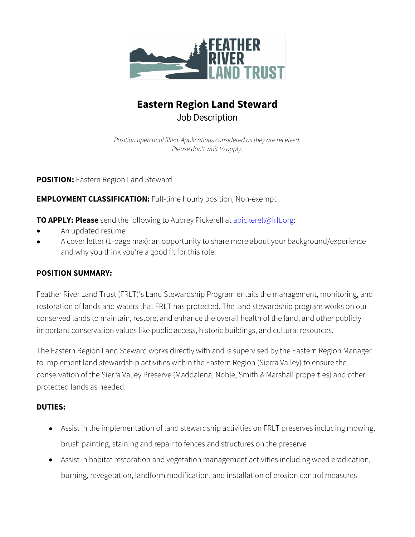

# **Eastern Region Land Steward** Job Description

*Position open until filled. Applications considered as they are received. Please don't wait to apply.*

### **POSITION:** Eastern Region Land Steward

### **EMPLOYMENT CLASSIFICATION:** Full-time hourly position, Non-exempt

**TO APPLY: Please** send the following to Aubrey Pickerell at [apickerell@frlt.org:](mailto:apickerell@frlt.org)

- An updated resume
- A cover letter (1-page max): an opportunity to share more about your background/experience and why you think you're a good fit for this role.

### **POSITION SUMMARY:**

Feather River Land Trust (FRLT)'s Land Stewardship Program entails the management, monitoring, and restoration of lands and waters that FRLT has protected. The land stewardship program works on our conserved lands to maintain, restore, and enhance the overall health of the land, and other publicly important conservation values like public access, historic buildings, and cultural resources.

The Eastern Region Land Steward works directly with and is supervised by the Eastern Region Manager to implement land stewardship activities within the Eastern Region (Sierra Valley) to ensure the conservation of the Sierra Valley Preserve (Maddalena, Noble, Smith & Marshall properties) and other protected lands as needed.

### **DUTIES:**

- Assist in the implementation of land stewardship activities on FRLT preserves including mowing, brush painting, staining and repair to fences and structures on the preserve
- Assist in habitat restoration and vegetation management activities including weed eradication, burning, revegetation, landform modification, and installation of erosion control measures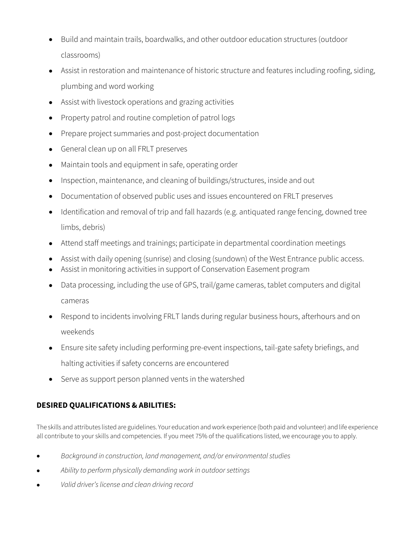- Build and maintain trails, boardwalks, and other outdoor education structures (outdoor classrooms)
- Assist in restoration and maintenance of historic structure and features including roofing, siding, plumbing and word working
- Assist with livestock operations and grazing activities
- Property patrol and routine completion of patrol logs
- Prepare project summaries and post-project documentation
- General clean up on all FRLT preserves
- Maintain tools and equipment in safe, operating order
- Inspection, maintenance, and cleaning of buildings/structures, inside and out
- Documentation of observed public uses and issues encountered on FRLT preserves
- Identification and removal of trip and fall hazards (e.g. antiquated range fencing, downed tree limbs, debris)
- Attend staff meetings and trainings; participate in departmental coordination meetings
- Assist with daily opening (sunrise) and closing (sundown) of the West Entrance public access.
- Assist in monitoring activities in support of Conservation Easement program
- Data processing, including the use of GPS, trail/game cameras, tablet computers and digital cameras
- Respond to incidents involving FRLT lands during regular business hours, afterhours and on weekends
- Ensure site safety including performing pre-event inspections, tail-gate safety briefings, and halting activities if safety concerns are encountered
- Serve as support person planned vents in the watershed

## **DESIRED QUALIFICATIONS & ABILITIES:**

The skills and attributes listed are guidelines. Your education and work experience (both paid and volunteer) and life experience all contribute to your skills and competencies. If you meet 75% of the qualifications listed, we encourage you to apply.

- *Background in construction, land management, and/or environmental studies*
- *Ability to perform physically demanding work in outdoor settings*
- *Valid driver's license and clean driving record*